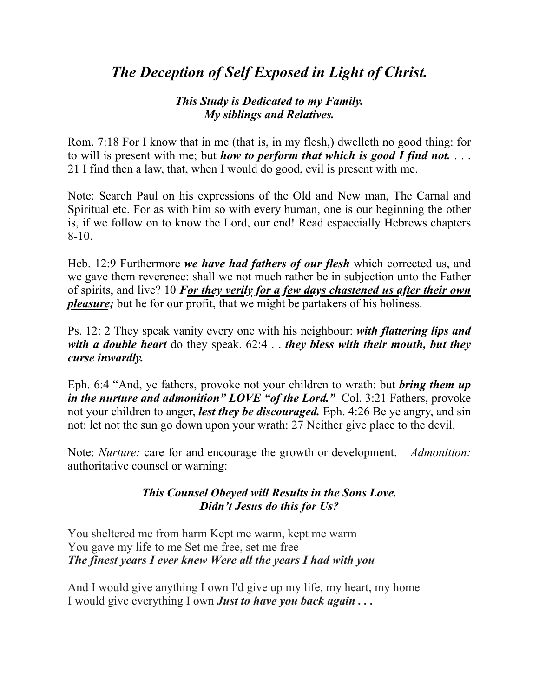# *The Deception of Self Exposed in Light of Christ.*

#### *This Study is Dedicated to my Family. My siblings and Relatives.*

Rom. 7:18 For I know that in me (that is, in my flesh,) dwelleth no good thing: for to will is present with me; but *how to perform that which is good I find not.* . . . 21 I find then a law, that, when I would do good, evil is present with me.

Note: Search Paul on his expressions of the Old and New man, The Carnal and Spiritual etc. For as with him so with every human, one is our beginning the other is, if we follow on to know the Lord, our end! Read espaecially Hebrews chapters 8-10.

Heb. 12:9 Furthermore *we have had fathers of our flesh* which corrected us, and we gave them reverence: shall we not much rather be in subjection unto the Father of spirits, and live? 10 *For they verily for a few days chastened us after their own pleasure;* but he for our profit, that we might be partakers of his holiness.

Ps. 12: 2 They speak vanity every one with his neighbour: *with flattering lips and with a double heart* do they speak. 62:4 . . *they bless with their mouth, but they curse inwardly.*

Eph. 6:4 "And, ye fathers, provoke not your children to wrath: but *bring them up in the nurture and admonition" LOVE "of the Lord."* Col. 3:21 Fathers, provoke not your children to anger, *lest they be discouraged.* Eph. 4:26 Be ye angry, and sin not: let not the sun go down upon your wrath: 27 Neither give place to the devil.

Note: *Nurture:* care for and encourage the growth or development. *Admonition:* authoritative counsel or warning:

#### *This Counsel Obeyed will Results in the Sons Love. Didn't Jesus do this for Us?*

You sheltered me from harm Kept me warm, kept me warm You gave my life to me Set me free, set me free *The finest years I ever knew Were all the years I had with you*

And I would give anything I own I'd give up my life, my heart, my home I would give everything I own *Just to have you back again . . .*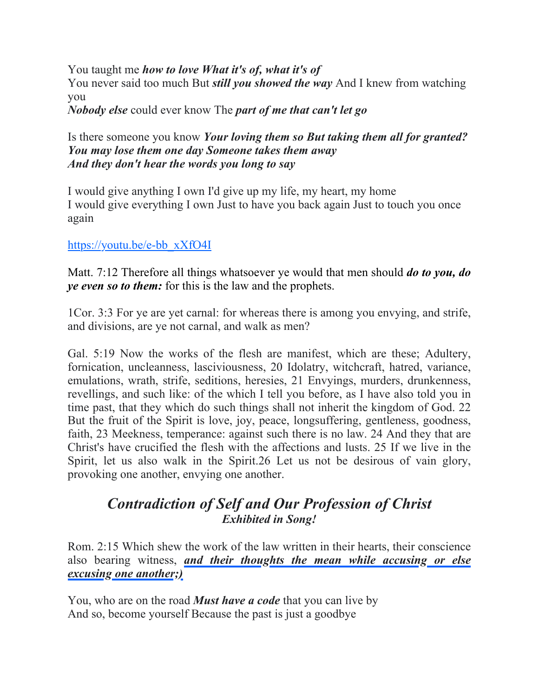You taught me *how to love What it's of, what it's of* You never said too much But *still you showed the way* And I knew from watching you *Nobody else* could ever know The *part of me that can't let go*

### Is there someone you know *Your loving them so But taking them all for granted? You may lose them one day Someone takes them away And they don't hear the words you long to say*

I would give anything I own I'd give up my life, my heart, my home I would give everything I own Just to have you back again Just to touch you once again

### https://youtu.be/e-bb\_xXfO4I

Matt. 7:12 Therefore all things whatsoever ye would that men should *do to you, do ye even so to them:* for this is the law and the prophets.

1Cor. 3:3 For ye are yet carnal: for whereas there is among you envying, and strife, and divisions, are ye not carnal, and walk as men?

Gal. 5:19 Now the works of the flesh are manifest, which are these; Adultery, fornication, uncleanness, lasciviousness, 20 Idolatry, witchcraft, hatred, variance, emulations, wrath, strife, seditions, heresies, 21 Envyings, murders, drunkenness, revellings, and such like: of the which I tell you before, as I have also told you in time past, that they which do such things shall not inherit the kingdom of God. 22 But the fruit of the Spirit is love, joy, peace, longsuffering, gentleness, goodness, faith, 23 Meekness, temperance: against such there is no law. 24 And they that are Christ's have crucified the flesh with the affections and lusts. 25 If we live in the Spirit, let us also walk in the Spirit.26 Let us not be desirous of vain glory, provoking one another, envying one another.

## *Contradiction of Self and Our Profession of Christ Exhibited in Song!*

Rom. 2:15 Which shew the work of the law written in their hearts, their conscience also bearing witness, *and their thoughts the mean while accusing or else excusing one another;)*

You, who are on the road *Must have a code* that you can live by And so, become yourself Because the past is just a goodbye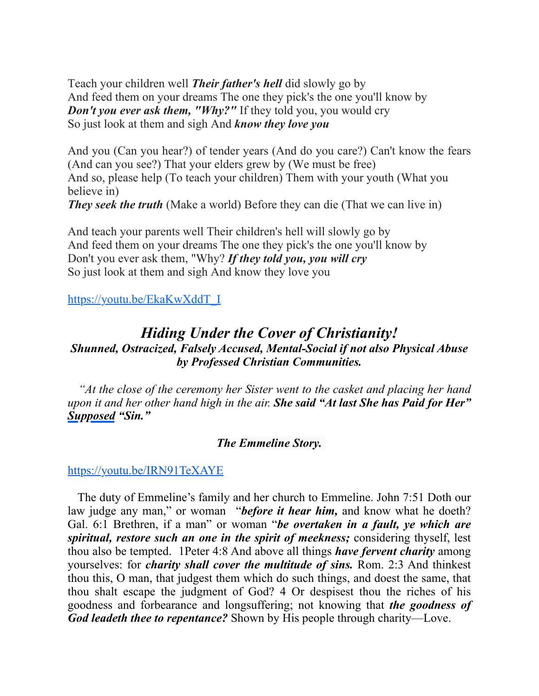Teach your children well *Their father's hell* did slowly go by And feed them on your dreams The one they pick's the one you'll know by *Don't you ever ask them, "Why?"* If they told you, you would cry So just look at them and sigh And *know they love you*

And you (Can you hear?) of tender years (And do you care?) Can't know the fears (And can you see?) That your elders grew by (We must be free) And so, please help (To teach your children) Them with your youth (What you believe in) *They seek the truth* (Make a world) Before they can die (That we can live in)

And teach your parents well Their children's hell will slowly go by And feed them on your dreams The one they pick's the one you'll know by Don't you ever ask them, "Why? *If they told you, you will cry* So just look at them and sigh And know they love you

https://youtu.be/EkaKwXddT\_I

## *Hiding Under the Cover of Christianity! Shunned, Ostracized, Falsely Accused, Mental-Social if not also Physical Abuse by Professed Christian Communities.*

 *"At the close of the ceremony her Sister went to the casket and placing her hand upon it and her other hand high in the air. She said "At last She has Paid for Her" Supposed "Sin."* 

### *The Emmeline Story.*

### https://youtu.be/IRN91TeXAYE

 The duty of Emmeline's family and her church to Emmeline. John 7:51 Doth our law judge any man," or woman "*before it hear him,* and know what he doeth? Gal. 6:1 Brethren, if a man" or woman "*be overtaken in a fault, ye which are spiritual, restore such an one in the spirit of meekness;* considering thyself, lest thou also be tempted. 1Peter 4:8 And above all things *have fervent charity* among yourselves: for *charity shall cover the multitude of sins.* Rom. 2:3 And thinkest thou this, O man, that judgest them which do such things, and doest the same, that thou shalt escape the judgment of God? 4 Or despisest thou the riches of his goodness and forbearance and longsuffering; not knowing that *the goodness of God leadeth thee to repentance?* Shown by His people through charity—Love.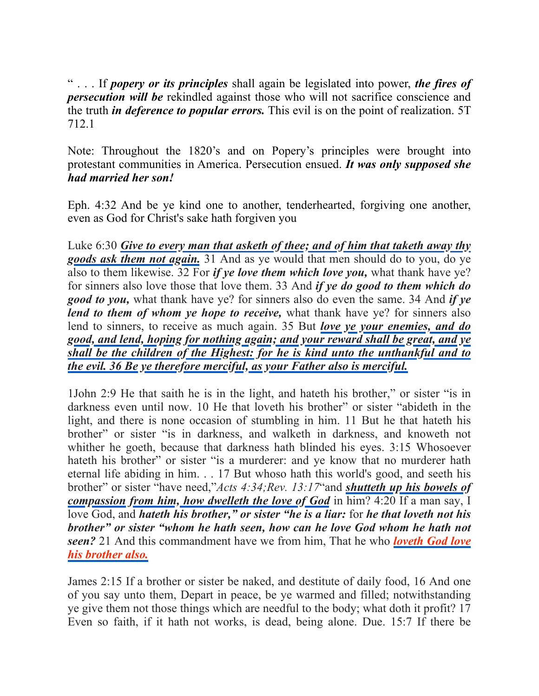" . . . If *popery or its principles* shall again be legislated into power, *the fires of persecution will be* rekindled against those who will not sacrifice conscience and the truth *in deference to popular errors.* This evil is on the point of realization. 5T 712.1

Note: Throughout the 1820's and on Popery's principles were brought into protestant communities in America. Persecution ensued. *It was only supposed she had married her son!*

Eph. 4:32 And be ye kind one to another, tenderhearted, forgiving one another, even as God for Christ's sake hath forgiven you

Luke 6:30 *Give to every man that asketh of thee; and of him that taketh away thy goods ask them not again.* 31 And as ye would that men should do to you, do ye also to them likewise. 32 For *if ye love them which love you,* what thank have ye? for sinners also love those that love them. 33 And *if ye do good to them which do good to you,* what thank have ye? for sinners also do even the same. 34 And *if ye lend to them of whom ye hope to receive,* what thank have ye? for sinners also lend to sinners, to receive as much again. 35 But *love ye your enemies, and do good, and lend, hoping for nothing again; and your reward shall be great, and ye shall be the children of the Highest: for he is kind unto the unthankful and to the evil. 36 Be ye therefore merciful, as your Father also is merciful.*

1John 2:9 He that saith he is in the light, and hateth his brother," or sister "is in darkness even until now. 10 He that loveth his brother" or sister "abideth in the light, and there is none occasion of stumbling in him. 11 But he that hateth his brother" or sister "is in darkness, and walketh in darkness, and knoweth not whither he goeth, because that darkness hath blinded his eyes. 3:15 Whosoever hateth his brother" or sister "is a murderer: and ye know that no murderer hath eternal life abiding in him. . . 17 But whoso hath this world's good, and seeth his brother" or sister "have need,"*Acts 4:34;Rev. 13:17*"and *shutteth up his bowels of compassion from him, how dwelleth the love of God* in him? 4:20 If a man say, I love God, and *hateth his brother," or sister "he is a liar:* for *he that loveth not his brother" or sister "whom he hath seen, how can he love God whom he hath not seen?* 21 And this commandment have we from him, That he who *loveth God love his brother also.*

James 2:15 If a brother or sister be naked, and destitute of daily food, 16 And one of you say unto them, Depart in peace, be ye warmed and filled; notwithstanding ye give them not those things which are needful to the body; what doth it profit? 17 Even so faith, if it hath not works, is dead, being alone. Due. 15:7 If there be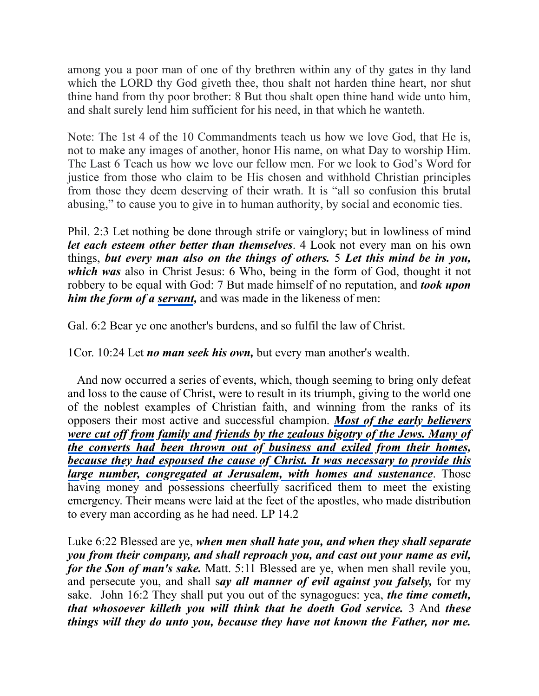among you a poor man of one of thy brethren within any of thy gates in thy land which the LORD thy God giveth thee, thou shalt not harden thine heart, nor shut thine hand from thy poor brother: 8 But thou shalt open thine hand wide unto him, and shalt surely lend him sufficient for his need, in that which he wanteth.

Note: The 1st 4 of the 10 Commandments teach us how we love God, that He is, not to make any images of another, honor His name, on what Day to worship Him. The Last 6 Teach us how we love our fellow men. For we look to God's Word for justice from those who claim to be His chosen and withhold Christian principles from those they deem deserving of their wrath. It is "all so confusion this brutal abusing," to cause you to give in to human authority, by social and economic ties.

Phil. 2:3 Let nothing be done through strife or vainglory; but in lowliness of mind *let each esteem other better than themselves*. 4 Look not every man on his own things, *but every man also on the things of others.* 5 *Let this mind be in you, which was* also in Christ Jesus: 6 Who, being in the form of God, thought it not robbery to be equal with God: 7 But made himself of no reputation, and *took upon him the form of a servant,* and was made in the likeness of men:

Gal. 6:2 Bear ye one another's burdens, and so fulfil the law of Christ.

1Cor. 10:24 Let *no man seek his own,* but every man another's wealth.

 And now occurred a series of events, which, though seeming to bring only defeat and loss to the cause of Christ, were to result in its triumph, giving to the world one of the noblest examples of Christian faith, and winning from the ranks of its opposers their most active and successful champion. *Most of the early believers were cut off from family and friends by the zealous bigotry of the Jews. Many of the converts had been thrown out of business and exiled from their homes, because they had espoused the cause of Christ. It was necessary to provide this large number, congregated at Jerusalem, with homes and sustenance*. Those having money and possessions cheerfully sacrificed them to meet the existing emergency. Their means were laid at the feet of the apostles, who made distribution to every man according as he had need. LP 14.2

Luke 6:22 Blessed are ye, *when men shall hate you, and when they shall separate you from their company, and shall reproach you, and cast out your name as evil, for the Son of man's sake.* Matt. 5:11 Blessed are ye, when men shall revile you, and persecute you, and shall s*ay all manner of evil against you falsely,* for my sake. John 16:2 They shall put you out of the synagogues: yea, *the time cometh, that whosoever killeth you will think that he doeth God service.* 3 And *these things will they do unto you, because they have not known the Father, nor me.*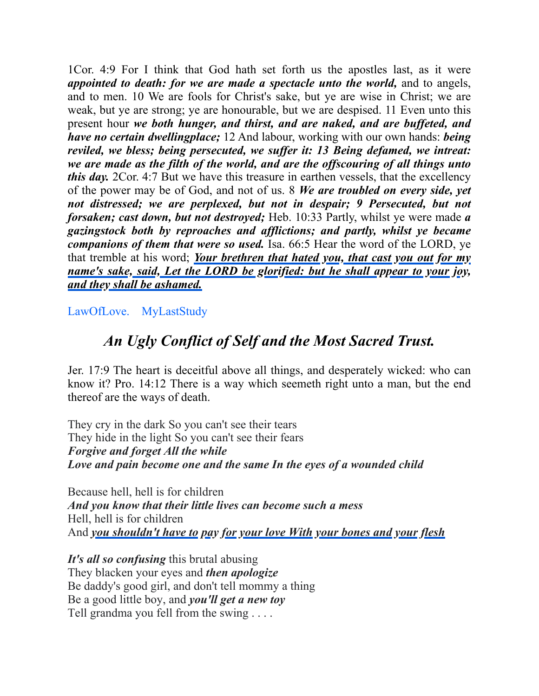1Cor. 4:9 For I think that God hath set forth us the apostles last, as it were *appointed to death: for we are made a spectacle unto the world,* and to angels, and to men. 10 We are fools for Christ's sake, but ye are wise in Christ; we are weak, but ye are strong; ye are honourable, but we are despised. 11 Even unto this present hour *we both hunger, and thirst, and are naked, and are buffeted, and have no certain dwellingplace;* 12 And labour, working with our own hands: *being reviled, we bless; being persecuted, we suffer it: 13 Being defamed, we intreat: we are made as the filth of the world, and are the offscouring of all things unto this day.* 2Cor. 4:7 But we have this treasure in earthen vessels, that the excellency of the power may be of God, and not of us. 8 *We are troubled on every side, yet not distressed; we are perplexed, but not in despair; 9 Persecuted, but not forsaken; cast down, but not destroyed;* Heb. 10:33 Partly, whilst ye were made *a gazingstock both by reproaches and afflictions; and partly, whilst ye became companions of them that were so used.* Isa. 66:5 Hear the word of the LORD, ye that tremble at his word; *Your brethren that hated you, that cast you out for my name's sake, said, Let the LORD be glorified: but he shall appear to your joy, and they shall be ashamed.*

[LawOfLove.](https://sdapillars.org/media/LawOfLove.pdf) [MyLastStudy](https://sdapillars.org/media/MyLastStudy.pdf)

# *An Ugly Conflict of Self and the Most Sacred Trust.*

Jer. 17:9 The heart is deceitful above all things, and desperately wicked: who can know it? Pro. 14:12 There is a way which seemeth right unto a man, but the end thereof are the ways of death.

They cry in the dark So you can't see their tears They hide in the light So you can't see their fears *Forgive and forget All the while Love and pain become one and the same In the eyes of a wounded child*

Because hell, hell is for children *And you know that their little lives can become such a mess* Hell, hell is for children And *you shouldn't have to pay for your love With your bones and your flesh*

*It's all so confusing* this brutal abusing They blacken your eyes and *then apologize* Be daddy's good girl, and don't tell mommy a thing Be a good little boy, and *you'll get a new toy* Tell grandma you fell from the swing . . . .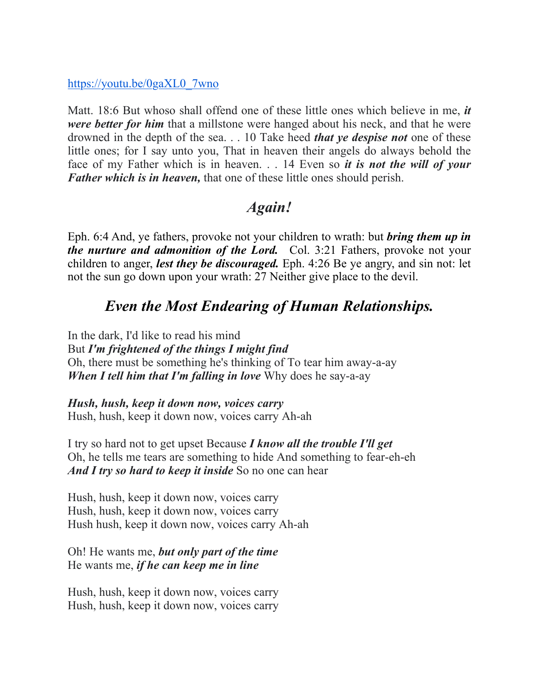https://youtu.be/0gaXL0\_7wno

Matt. 18:6 But whoso shall offend one of these little ones which believe in me, *it were better for him* that a millstone were hanged about his neck, and that he were drowned in the depth of the sea. . . 10 Take heed *that ye despise not* one of these little ones; for I say unto you, That in heaven their angels do always behold the face of my Father which is in heaven. . . 14 Even so *it is not the will of your Father which is in heaven,* that one of these little ones should perish.

# *Again!*

Eph. 6:4 And, ye fathers, provoke not your children to wrath: but *bring them up in the nurture and admonition of the Lord.* Col. 3:21 Fathers, provoke not your children to anger, *lest they be discouraged.* Eph. 4:26 Be ye angry, and sin not: let not the sun go down upon your wrath: 27 Neither give place to the devil.

# *Even the Most Endearing of Human Relationships.*

In the dark, I'd like to read his mind But *I'm frightened of the things I might find* Oh, there must be something he's thinking of To tear him away-a-ay *When I tell him that I'm falling in love* Why does he say-a-ay

*Hush, hush, keep it down now, voices carry* Hush, hush, keep it down now, voices carry Ah-ah

I try so hard not to get upset Because *I know all the trouble I'll get* Oh, he tells me tears are something to hide And something to fear-eh-eh *And I try so hard to keep it inside* So no one can hear

Hush, hush, keep it down now, voices carry Hush, hush, keep it down now, voices carry Hush hush, keep it down now, voices carry Ah-ah

### Oh! He wants me, *but only part of the time* He wants me, *if he can keep me in line*

Hush, hush, keep it down now, voices carry Hush, hush, keep it down now, voices carry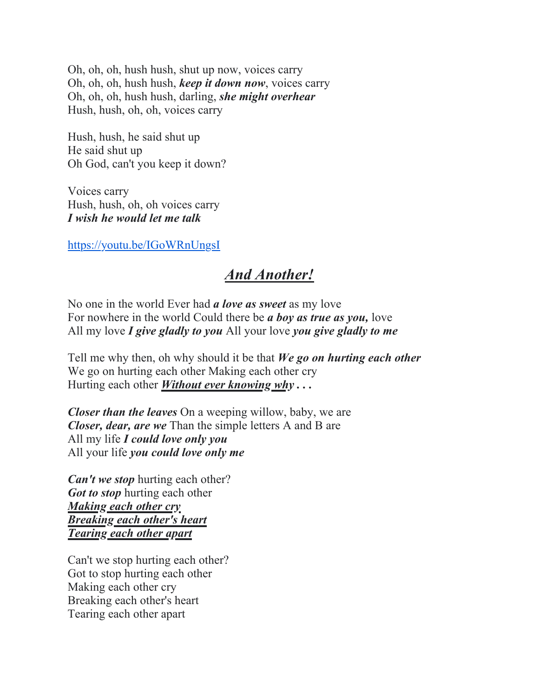Oh, oh, oh, hush hush, shut up now, voices carry Oh, oh, oh, hush hush, *keep it down now*, voices carry Oh, oh, oh, hush hush, darling, *she might overhear* Hush, hush, oh, oh, voices carry

Hush, hush, he said shut up He said shut up Oh God, can't you keep it down?

Voices carry Hush, hush, oh, oh voices carry *I wish he would let me talk*

https://youtu.be/IGoWRnUngsI

# *And Another!*

No one in the world Ever had *a love as sweet* as my love For nowhere in the world Could there be *a boy as true as you,* love All my love *I give gladly to you* All your love *you give gladly to me*

Tell me why then, oh why should it be that *We go on hurting each other* We go on hurting each other Making each other cry Hurting each other *Without ever knowing why . . .*

*Closer than the leaves* On a weeping willow, baby, we are *Closer, dear, are we* Than the simple letters A and B are All my life *I could love only you* All your life *you could love only me*

*Can't we stop* hurting each other? *Got to stop* hurting each other *Making each other cry Breaking each other's heart Tearing each other apart*

Can't we stop hurting each other? Got to stop hurting each other Making each other cry Breaking each other's heart Tearing each other apart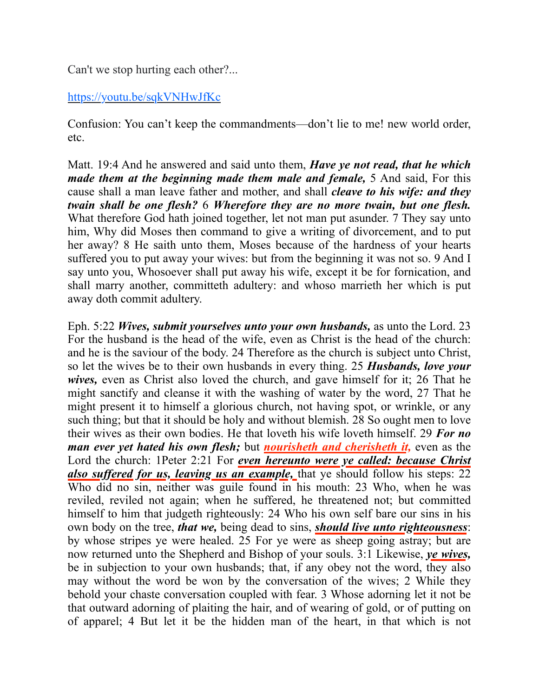Can't we stop hurting each other?...

https://youtu.be/sqkVNHwJfKc

Confusion: You can't keep the commandments—don't lie to me! new world order, etc.

Matt. 19:4 And he answered and said unto them, *Have ye not read, that he which made them at the beginning made them male and female,* 5 And said, For this cause shall a man leave father and mother, and shall *cleave to his wife: and they twain shall be one flesh?* 6 *Wherefore they are no more twain, but one flesh.* What therefore God hath joined together, let not man put asunder. 7 They say unto him, Why did Moses then command to give a writing of divorcement, and to put her away? 8 He saith unto them, Moses because of the hardness of your hearts suffered you to put away your wives: but from the beginning it was not so. 9 And I say unto you, Whosoever shall put away his wife, except it be for fornication, and shall marry another, committeth adultery: and whoso marrieth her which is put away doth commit adultery.

Eph. 5:22 *Wives, submit yourselves unto your own husbands,* as unto the Lord. 23 For the husband is the head of the wife, even as Christ is the head of the church: and he is the saviour of the body. 24 Therefore as the church is subject unto Christ, so let the wives be to their own husbands in every thing. 25 *Husbands, love your wives,* even as Christ also loved the church, and gave himself for it; 26 That he might sanctify and cleanse it with the washing of water by the word, 27 That he might present it to himself a glorious church, not having spot, or wrinkle, or any such thing; but that it should be holy and without blemish. 28 So ought men to love their wives as their own bodies. He that loveth his wife loveth himself. 29 *For no man ever yet hated his own flesh;* but *nourisheth and cherisheth it,* even as the Lord the church: 1Peter 2:21 For *even hereunto were ye called: because Christ also suffered for us, leaving us an example,* that ye should follow his steps: 22 Who did no sin, neither was guile found in his mouth: 23 Who, when he was reviled, reviled not again; when he suffered, he threatened not; but committed himself to him that judgeth righteously: 24 Who his own self bare our sins in his own body on the tree, *that we,* being dead to sins, *should live unto righteousness*: by whose stripes ye were healed. 25 For ye were as sheep going astray; but are now returned unto the Shepherd and Bishop of your souls. 3:1 Likewise, *ye wives,* be in subjection to your own husbands; that, if any obey not the word, they also may without the word be won by the conversation of the wives; 2 While they behold your chaste conversation coupled with fear. 3 Whose adorning let it not be that outward adorning of plaiting the hair, and of wearing of gold, or of putting on of apparel; 4 But let it be the hidden man of the heart, in that which is not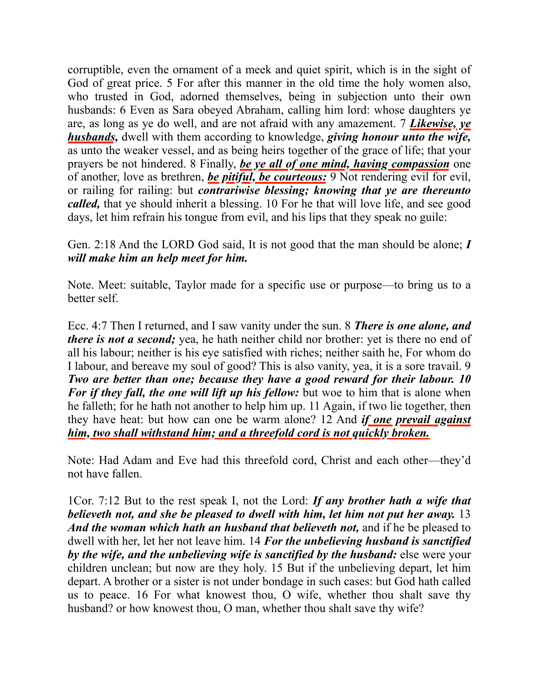corruptible, even the ornament of a meek and quiet spirit, which is in the sight of God of great price. 5 For after this manner in the old time the holy women also, who trusted in God, adorned themselves, being in subjection unto their own husbands: 6 Even as Sara obeyed Abraham, calling him lord: whose daughters ye are, as long as ye do well, and are not afraid with any amazement. 7 *Likewise, ye husbands,* dwell with them according to knowledge, *giving honour unto the wife,* as unto the weaker vessel, and as being heirs together of the grace of life; that your prayers be not hindered. 8 Finally, *be ye all of one mind, having compassion* one of another, love as brethren, *be pitiful, be courteous:* 9 Not rendering evil for evil, or railing for railing: but *contrariwise blessing; knowing that ye are thereunto called,* that ye should inherit a blessing. 10 For he that will love life, and see good days, let him refrain his tongue from evil, and his lips that they speak no guile:

Gen. 2:18 And the LORD God said, It is not good that the man should be alone; *I will make him an help meet for him.*

Note. Meet: suitable, Taylor made for a specific use or purpose—to bring us to a better self.

Ecc. 4:7 Then I returned, and I saw vanity under the sun. 8 *There is one alone, and there is not a second;* yea, he hath neither child nor brother: yet is there no end of all his labour; neither is his eye satisfied with riches; neither saith he, For whom do I labour, and bereave my soul of good? This is also vanity, yea, it is a sore travail. 9 *Two are better than one; because they have a good reward for their labour. 10 For if they fall, the one will lift up his fellow:* but woe to him that is alone when he falleth; for he hath not another to help him up. 11 Again, if two lie together, then they have heat: but how can one be warm alone? 12 And *if one prevail against him, two shall withstand him; and a threefold cord is not quickly broken.*

Note: Had Adam and Eve had this threefold cord, Christ and each other—they'd not have fallen.

1Cor. 7:12 But to the rest speak I, not the Lord: *If any brother hath a wife that believeth not, and she be pleased to dwell with him, let him not put her away.* 13 *And the woman which hath an husband that believeth not,* and if he be pleased to dwell with her, let her not leave him. 14 *For the unbelieving husband is sanctified by the wife, and the unbelieving wife is sanctified by the husband:* else were your children unclean; but now are they holy. 15 But if the unbelieving depart, let him depart. A brother or a sister is not under bondage in such cases: but God hath called us to peace. 16 For what knowest thou, O wife, whether thou shalt save thy husband? or how knowest thou, O man, whether thou shalt save thy wife?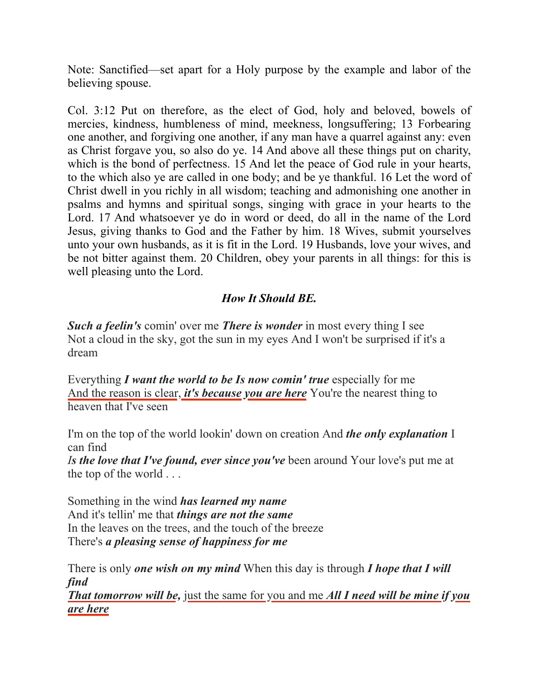Note: Sanctified—set apart for a Holy purpose by the example and labor of the believing spouse.

Col. 3:12 Put on therefore, as the elect of God, holy and beloved, bowels of mercies, kindness, humbleness of mind, meekness, longsuffering; 13 Forbearing one another, and forgiving one another, if any man have a quarrel against any: even as Christ forgave you, so also do ye. 14 And above all these things put on charity, which is the bond of perfectness. 15 And let the peace of God rule in your hearts, to the which also ye are called in one body; and be ye thankful. 16 Let the word of Christ dwell in you richly in all wisdom; teaching and admonishing one another in psalms and hymns and spiritual songs, singing with grace in your hearts to the Lord. 17 And whatsoever ye do in word or deed, do all in the name of the Lord Jesus, giving thanks to God and the Father by him. 18 Wives, submit yourselves unto your own husbands, as it is fit in the Lord. 19 Husbands, love your wives, and be not bitter against them. 20 Children, obey your parents in all things: for this is well pleasing unto the Lord.

### *How It Should BE.*

*Such a feelin's* comin' over me *There is wonder* in most every thing I see Not a cloud in the sky, got the sun in my eyes And I won't be surprised if it's a dream

Everything *I want the world to be Is now comin' true* especially for me And the reason is clear, *it's because you are here* You're the nearest thing to heaven that I've seen

I'm on the top of the world lookin' down on creation And *the only explanation* I can find

*Is the love that I've found, ever since you've* been around Your love's put me at the top of the world . . .

Something in the wind *has learned my name* And it's tellin' me that *things are not the same* In the leaves on the trees, and the touch of the breeze There's *a pleasing sense of happiness for me*

There is only *one wish on my mind* When this day is through *I hope that I will find*

*That tomorrow will be,* just the same for you and me *All I need will be mine if you are here*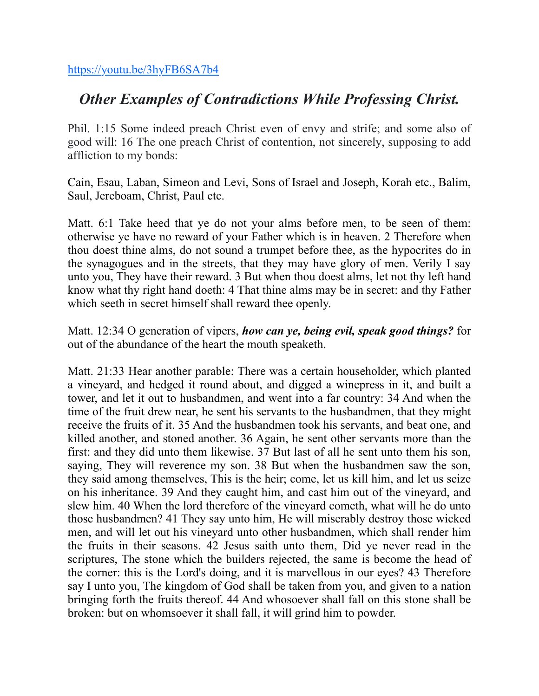# *Other Examples of Contradictions While Professing Christ.*

Phil. 1:15 Some indeed preach Christ even of envy and strife; and some also of good will: 16 The one preach Christ of contention, not sincerely, supposing to add affliction to my bonds:

Cain, Esau, Laban, Simeon and Levi, Sons of Israel and Joseph, Korah etc., Balim, Saul, Jereboam, Christ, Paul etc.

Matt. 6:1 Take heed that ye do not your alms before men, to be seen of them: otherwise ye have no reward of your Father which is in heaven. 2 Therefore when thou doest thine alms, do not sound a trumpet before thee, as the hypocrites do in the synagogues and in the streets, that they may have glory of men. Verily I say unto you, They have their reward. 3 But when thou doest alms, let not thy left hand know what thy right hand doeth: 4 That thine alms may be in secret: and thy Father which seeth in secret himself shall reward thee openly.

Matt. 12:34 O generation of vipers, *how can ye, being evil, speak good things?* for out of the abundance of the heart the mouth speaketh.

Matt. 21:33 Hear another parable: There was a certain householder, which planted a vineyard, and hedged it round about, and digged a winepress in it, and built a tower, and let it out to husbandmen, and went into a far country: 34 And when the time of the fruit drew near, he sent his servants to the husbandmen, that they might receive the fruits of it. 35 And the husbandmen took his servants, and beat one, and killed another, and stoned another. 36 Again, he sent other servants more than the first: and they did unto them likewise. 37 But last of all he sent unto them his son, saying, They will reverence my son. 38 But when the husbandmen saw the son, they said among themselves, This is the heir; come, let us kill him, and let us seize on his inheritance. 39 And they caught him, and cast him out of the vineyard, and slew him. 40 When the lord therefore of the vineyard cometh, what will he do unto those husbandmen? 41 They say unto him, He will miserably destroy those wicked men, and will let out his vineyard unto other husbandmen, which shall render him the fruits in their seasons. 42 Jesus saith unto them, Did ye never read in the scriptures, The stone which the builders rejected, the same is become the head of the corner: this is the Lord's doing, and it is marvellous in our eyes? 43 Therefore say I unto you, The kingdom of God shall be taken from you, and given to a nation bringing forth the fruits thereof. 44 And whosoever shall fall on this stone shall be broken: but on whomsoever it shall fall, it will grind him to powder.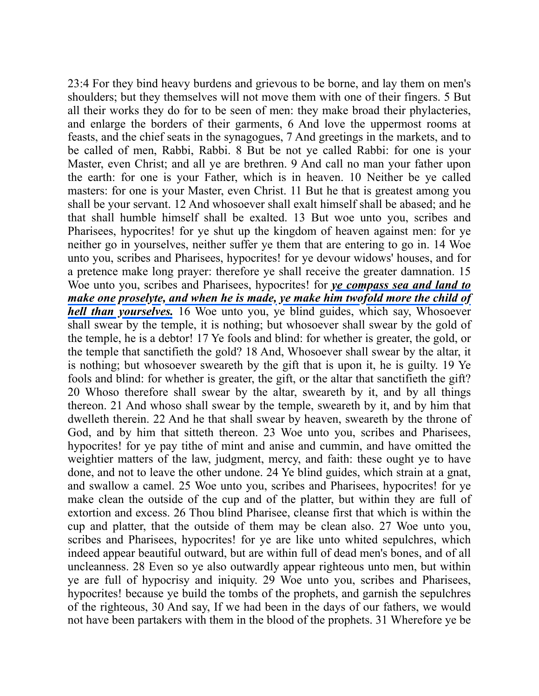23:4 For they bind heavy burdens and grievous to be borne, and lay them on men's shoulders; but they themselves will not move them with one of their fingers. 5 But all their works they do for to be seen of men: they make broad their phylacteries, and enlarge the borders of their garments, 6 And love the uppermost rooms at feasts, and the chief seats in the synagogues, 7 And greetings in the markets, and to be called of men, Rabbi, Rabbi. 8 But be not ye called Rabbi: for one is your Master, even Christ; and all ye are brethren. 9 And call no man your father upon the earth: for one is your Father, which is in heaven. 10 Neither be ye called masters: for one is your Master, even Christ. 11 But he that is greatest among you shall be your servant. 12 And whosoever shall exalt himself shall be abased; and he that shall humble himself shall be exalted. 13 But woe unto you, scribes and Pharisees, hypocrites! for ye shut up the kingdom of heaven against men: for ye neither go in yourselves, neither suffer ye them that are entering to go in. 14 Woe unto you, scribes and Pharisees, hypocrites! for ye devour widows' houses, and for a pretence make long prayer: therefore ye shall receive the greater damnation. 15 Woe unto you, scribes and Pharisees, hypocrites! for *ye compass sea and land to make one proselyte, and when he is made, ye make him twofold more the child of hell than yourselves.* 16 Woe unto you, ye blind guides, which say, Whosoever shall swear by the temple, it is nothing; but whosoever shall swear by the gold of the temple, he is a debtor! 17 Ye fools and blind: for whether is greater, the gold, or the temple that sanctifieth the gold? 18 And, Whosoever shall swear by the altar, it is nothing; but whosoever sweareth by the gift that is upon it, he is guilty. 19 Ye fools and blind: for whether is greater, the gift, or the altar that sanctifieth the gift? 20 Whoso therefore shall swear by the altar, sweareth by it, and by all things thereon. 21 And whoso shall swear by the temple, sweareth by it, and by him that dwelleth therein. 22 And he that shall swear by heaven, sweareth by the throne of God, and by him that sitteth thereon. 23 Woe unto you, scribes and Pharisees, hypocrites! for ye pay tithe of mint and anise and cummin, and have omitted the weightier matters of the law, judgment, mercy, and faith: these ought ye to have done, and not to leave the other undone. 24 Ye blind guides, which strain at a gnat, and swallow a camel. 25 Woe unto you, scribes and Pharisees, hypocrites! for ye make clean the outside of the cup and of the platter, but within they are full of extortion and excess. 26 Thou blind Pharisee, cleanse first that which is within the cup and platter, that the outside of them may be clean also. 27 Woe unto you, scribes and Pharisees, hypocrites! for ye are like unto whited sepulchres, which indeed appear beautiful outward, but are within full of dead men's bones, and of all uncleanness. 28 Even so ye also outwardly appear righteous unto men, but within ye are full of hypocrisy and iniquity. 29 Woe unto you, scribes and Pharisees, hypocrites! because ye build the tombs of the prophets, and garnish the sepulchres of the righteous, 30 And say, If we had been in the days of our fathers, we would not have been partakers with them in the blood of the prophets. 31 Wherefore ye be